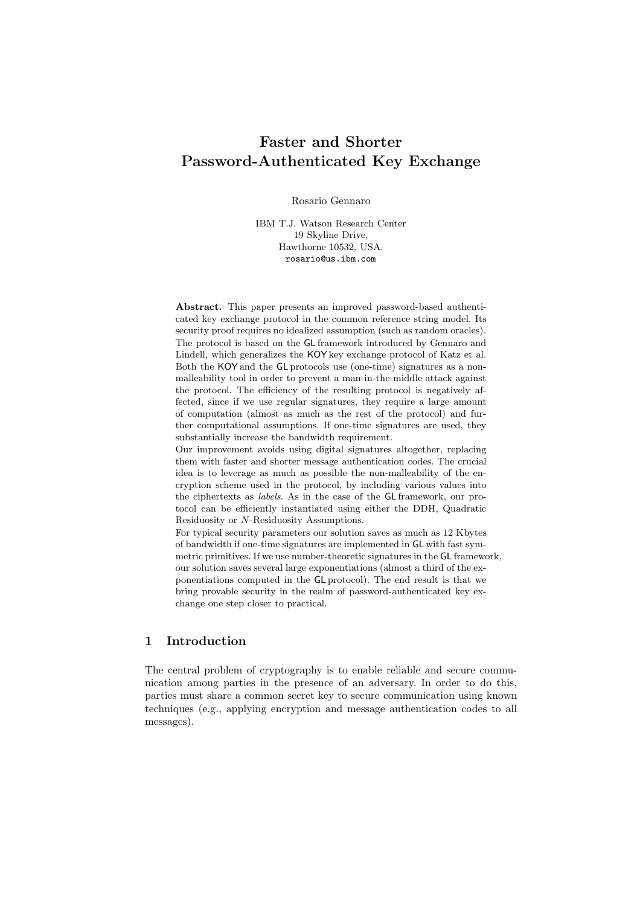# Faster and Shorter Password-Authenticated Key Exchange

Rosario Gennaro

IBM T.J. Watson Research Center 19 Skyline Drive, Hawthorne 10532, USA. rosario@us.ibm.com

Abstract. This paper presents an improved password-based authenticated key exchange protocol in the common reference string model. Its security proof requires no idealized assumption (such as random oracles). The protocol is based on the GL framework introduced by Gennaro and Lindell, which generalizes the KOY key exchange protocol of Katz et al. Both the KOYand the GL protocols use (one-time) signatures as a nonmalleability tool in order to prevent a man-in-the-middle attack against the protocol. The efficiency of the resulting protocol is negatively affected, since if we use regular signatures, they require a large amount of computation (almost as much as the rest of the protocol) and further computational assumptions. If one-time signatures are used, they substantially increase the bandwidth requirement.

Our improvement avoids using digital signatures altogether, replacing them with faster and shorter message authentication codes. The crucial idea is to leverage as much as possible the non-malleability of the encryption scheme used in the protocol, by including various values into the ciphertexts as labels. As in the case of the GL framework, our protocol can be efficiently instantiated using either the DDH, Quadratic Residuosity or N-Residuosity Assumptions.

For typical security parameters our solution saves as much as 12 Kbytes of bandwidth if one-time signatures are implemented in GL with fast symmetric primitives. If we use number-theoretic signatures in the GL framework, our solution saves several large exponentiations (almost a third of the exponentiations computed in the GL protocol). The end result is that we bring provable security in the realm of password-authenticated key exchange one step closer to practical.

# 1 Introduction

The central problem of cryptography is to enable reliable and secure communication among parties in the presence of an adversary. In order to do this, parties must share a common secret key to secure communication using known techniques (e.g., applying encryption and message authentication codes to all messages).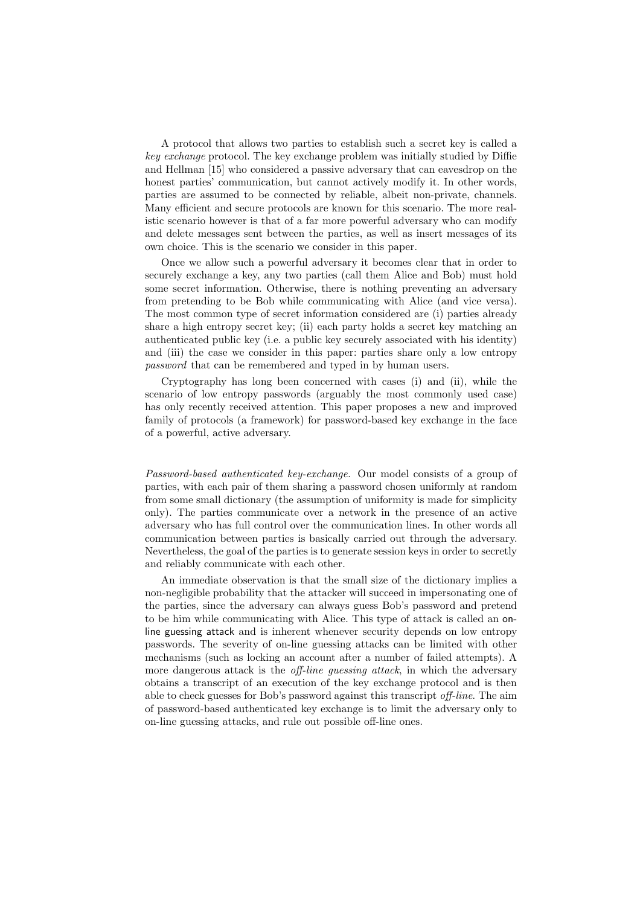A protocol that allows two parties to establish such a secret key is called a key exchange protocol. The key exchange problem was initially studied by Diffie and Hellman [15] who considered a passive adversary that can eavesdrop on the honest parties' communication, but cannot actively modify it. In other words, parties are assumed to be connected by reliable, albeit non-private, channels. Many efficient and secure protocols are known for this scenario. The more realistic scenario however is that of a far more powerful adversary who can modify and delete messages sent between the parties, as well as insert messages of its own choice. This is the scenario we consider in this paper.

Once we allow such a powerful adversary it becomes clear that in order to securely exchange a key, any two parties (call them Alice and Bob) must hold some secret information. Otherwise, there is nothing preventing an adversary from pretending to be Bob while communicating with Alice (and vice versa). The most common type of secret information considered are (i) parties already share a high entropy secret key; (ii) each party holds a secret key matching an authenticated public key (i.e. a public key securely associated with his identity) and (iii) the case we consider in this paper: parties share only a low entropy password that can be remembered and typed in by human users.

Cryptography has long been concerned with cases (i) and (ii), while the scenario of low entropy passwords (arguably the most commonly used case) has only recently received attention. This paper proposes a new and improved family of protocols (a framework) for password-based key exchange in the face of a powerful, active adversary.

Password-based authenticated key-exchange. Our model consists of a group of parties, with each pair of them sharing a password chosen uniformly at random from some small dictionary (the assumption of uniformity is made for simplicity only). The parties communicate over a network in the presence of an active adversary who has full control over the communication lines. In other words all communication between parties is basically carried out through the adversary. Nevertheless, the goal of the parties is to generate session keys in order to secretly and reliably communicate with each other.

An immediate observation is that the small size of the dictionary implies a non-negligible probability that the attacker will succeed in impersonating one of the parties, since the adversary can always guess Bob's password and pretend to be him while communicating with Alice. This type of attack is called an online guessing attack and is inherent whenever security depends on low entropy passwords. The severity of on-line guessing attacks can be limited with other mechanisms (such as locking an account after a number of failed attempts). A more dangerous attack is the *off-line quessing attack*, in which the adversary obtains a transcript of an execution of the key exchange protocol and is then able to check guesses for Bob's password against this transcript off-line. The aim of password-based authenticated key exchange is to limit the adversary only to on-line guessing attacks, and rule out possible off-line ones.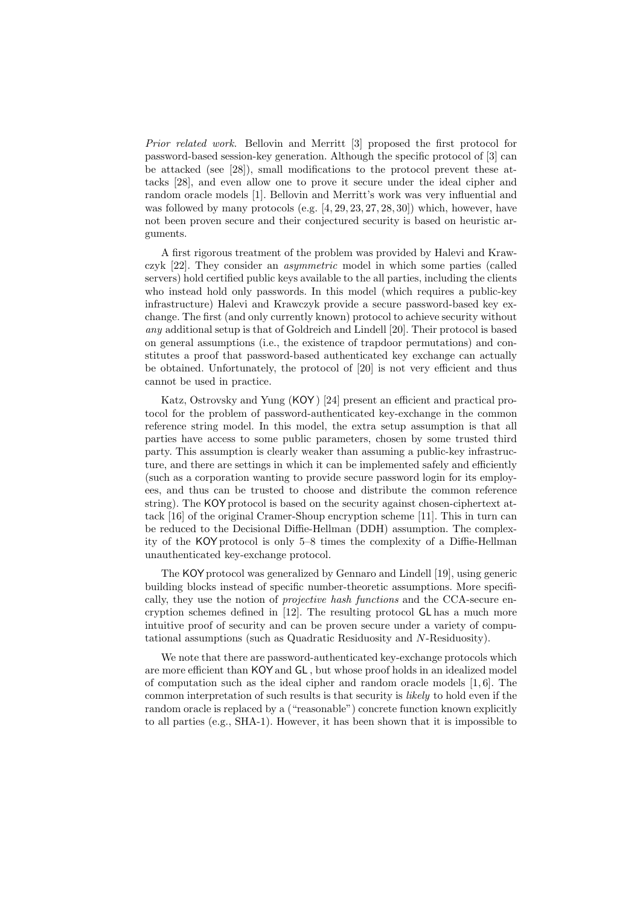Prior related work. Bellovin and Merritt [3] proposed the first protocol for password-based session-key generation. Although the specific protocol of [3] can be attacked (see [28]), small modifications to the protocol prevent these attacks [28], and even allow one to prove it secure under the ideal cipher and random oracle models [1]. Bellovin and Merritt's work was very influential and was followed by many protocols  $(e.g. [4, 29, 23, 27, 28, 30])$  which, however, have not been proven secure and their conjectured security is based on heuristic arguments.

A first rigorous treatment of the problem was provided by Halevi and Krawczyk [22]. They consider an asymmetric model in which some parties (called servers) hold certified public keys available to the all parties, including the clients who instead hold only passwords. In this model (which requires a public-key infrastructure) Halevi and Krawczyk provide a secure password-based key exchange. The first (and only currently known) protocol to achieve security without any additional setup is that of Goldreich and Lindell [20]. Their protocol is based on general assumptions (i.e., the existence of trapdoor permutations) and constitutes a proof that password-based authenticated key exchange can actually be obtained. Unfortunately, the protocol of [20] is not very efficient and thus cannot be used in practice.

Katz, Ostrovsky and Yung (KOY) [24] present an efficient and practical protocol for the problem of password-authenticated key-exchange in the common reference string model. In this model, the extra setup assumption is that all parties have access to some public parameters, chosen by some trusted third party. This assumption is clearly weaker than assuming a public-key infrastructure, and there are settings in which it can be implemented safely and efficiently (such as a corporation wanting to provide secure password login for its employees, and thus can be trusted to choose and distribute the common reference string). The KOYprotocol is based on the security against chosen-ciphertext attack [16] of the original Cramer-Shoup encryption scheme [11]. This in turn can be reduced to the Decisional Diffie-Hellman (DDH) assumption. The complexity of the KOYprotocol is only 5–8 times the complexity of a Diffie-Hellman unauthenticated key-exchange protocol.

The KOY protocol was generalized by Gennaro and Lindell [19], using generic building blocks instead of specific number-theoretic assumptions. More specifically, they use the notion of projective hash functions and the CCA-secure encryption schemes defined in [12]. The resulting protocol GL has a much more intuitive proof of security and can be proven secure under a variety of computational assumptions (such as Quadratic Residuosity and N-Residuosity).

We note that there are password-authenticated key-exchange protocols which are more efficient than KOYand GL , but whose proof holds in an idealized model of computation such as the ideal cipher and random oracle models [1, 6]. The common interpretation of such results is that security is likely to hold even if the random oracle is replaced by a ("reasonable") concrete function known explicitly to all parties (e.g., SHA-1). However, it has been shown that it is impossible to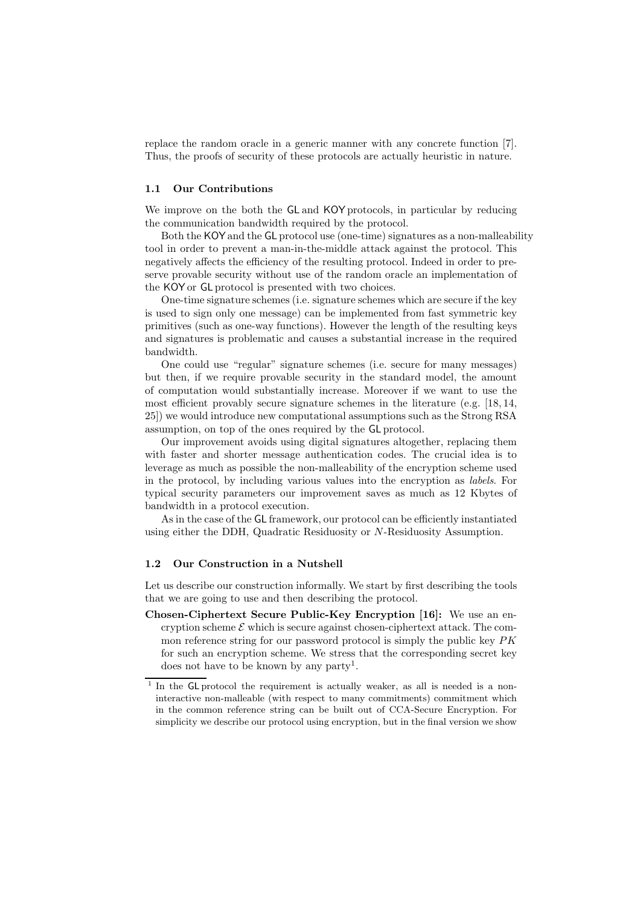replace the random oracle in a generic manner with any concrete function [7]. Thus, the proofs of security of these protocols are actually heuristic in nature.

## 1.1 Our Contributions

We improve on the both the GL and KOY protocols, in particular by reducing the communication bandwidth required by the protocol.

Both the KOYand the GL protocol use (one-time) signatures as a non-malleability tool in order to prevent a man-in-the-middle attack against the protocol. This negatively affects the efficiency of the resulting protocol. Indeed in order to preserve provable security without use of the random oracle an implementation of the KOYor GL protocol is presented with two choices.

One-time signature schemes (i.e. signature schemes which are secure if the key is used to sign only one message) can be implemented from fast symmetric key primitives (such as one-way functions). However the length of the resulting keys and signatures is problematic and causes a substantial increase in the required bandwidth.

One could use "regular" signature schemes (i.e. secure for many messages) but then, if we require provable security in the standard model, the amount of computation would substantially increase. Moreover if we want to use the most efficient provably secure signature schemes in the literature (e.g.  $[18, 14, ]$ 25]) we would introduce new computational assumptions such as the Strong RSA assumption, on top of the ones required by the GL protocol.

Our improvement avoids using digital signatures altogether, replacing them with faster and shorter message authentication codes. The crucial idea is to leverage as much as possible the non-malleability of the encryption scheme used in the protocol, by including various values into the encryption as labels. For typical security parameters our improvement saves as much as 12 Kbytes of bandwidth in a protocol execution.

As in the case of the GL framework, our protocol can be efficiently instantiated using either the DDH, Quadratic Residuosity or N-Residuosity Assumption.

#### 1.2 Our Construction in a Nutshell

Let us describe our construction informally. We start by first describing the tools that we are going to use and then describing the protocol.

Chosen-Ciphertext Secure Public-Key Encryption [16]: We use an encryption scheme  $\mathcal E$  which is secure against chosen-ciphertext attack. The common reference string for our password protocol is simply the public key PK for such an encryption scheme. We stress that the corresponding secret key does not have to be known by any party<sup>1</sup>.

<sup>&</sup>lt;sup>1</sup> In the GL protocol the requirement is actually weaker, as all is needed is a noninteractive non-malleable (with respect to many commitments) commitment which in the common reference string can be built out of CCA-Secure Encryption. For simplicity we describe our protocol using encryption, but in the final version we show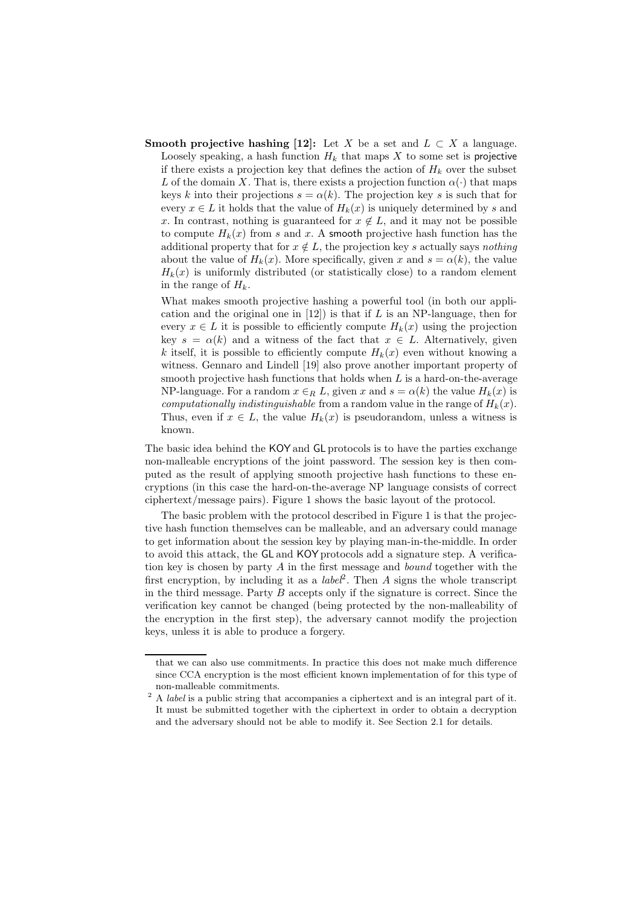Smooth projective hashing [12]: Let X be a set and  $L \subset X$  a language. Loosely speaking, a hash function  $H_k$  that maps X to some set is projective if there exists a projection key that defines the action of  $H_k$  over the subset L of the domain X. That is, there exists a projection function  $\alpha(\cdot)$  that maps keys k into their projections  $s = \alpha(k)$ . The projection key s is such that for every  $x \in L$  it holds that the value of  $H_k(x)$  is uniquely determined by s and x. In contrast, nothing is guaranteed for  $x \notin L$ , and it may not be possible to compute  $H_k(x)$  from s and x. A smooth projective hash function has the additional property that for  $x \notin L$ , the projection key s actually says nothing about the value of  $H_k(x)$ . More specifically, given x and  $s = \alpha(k)$ , the value  $H_k(x)$  is uniformly distributed (or statistically close) to a random element in the range of  $H_k$ .

What makes smooth projective hashing a powerful tool (in both our application and the original one in  $[12]$ ) is that if L is an NP-language, then for every  $x \in L$  it is possible to efficiently compute  $H_k(x)$  using the projection key  $s = \alpha(k)$  and a witness of the fact that  $x \in L$ . Alternatively, given k itself, it is possible to efficiently compute  $H_k(x)$  even without knowing a witness. Gennaro and Lindell [19] also prove another important property of smooth projective hash functions that holds when  $L$  is a hard-on-the-average NP-language. For a random  $x \in_R L$ , given x and  $s = \alpha(k)$  the value  $H_k(x)$  is computationally indistinguishable from a random value in the range of  $H_k(x)$ . Thus, even if  $x \in L$ , the value  $H_k(x)$  is pseudorandom, unless a witness is known.

The basic idea behind the KOYand GL protocols is to have the parties exchange non-malleable encryptions of the joint password. The session key is then computed as the result of applying smooth projective hash functions to these encryptions (in this case the hard-on-the-average NP language consists of correct ciphertext/message pairs). Figure 1 shows the basic layout of the protocol.

The basic problem with the protocol described in Figure 1 is that the projective hash function themselves can be malleable, and an adversary could manage to get information about the session key by playing man-in-the-middle. In order to avoid this attack, the GL and KOYprotocols add a signature step. A verification key is chosen by party A in the first message and bound together with the first encryption, by including it as a  $label^2$ . Then A signs the whole transcript in the third message. Party  $B$  accepts only if the signature is correct. Since the verification key cannot be changed (being protected by the non-malleability of the encryption in the first step), the adversary cannot modify the projection keys, unless it is able to produce a forgery.

that we can also use commitments. In practice this does not make much difference since CCA encryption is the most efficient known implementation of for this type of non-malleable commitments.

 $2 A$  *label* is a public string that accompanies a ciphertext and is an integral part of it. It must be submitted together with the ciphertext in order to obtain a decryption and the adversary should not be able to modify it. See Section 2.1 for details.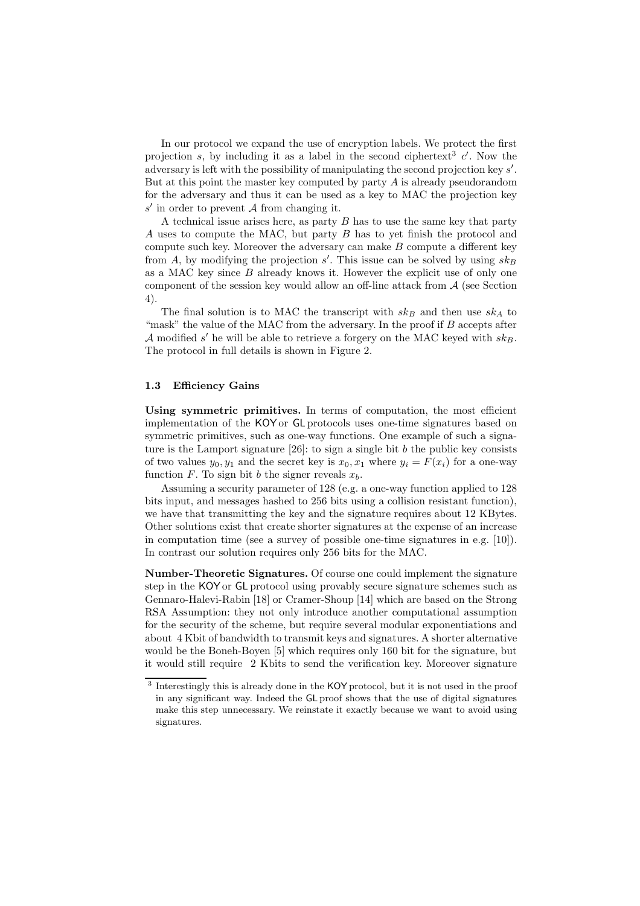In our protocol we expand the use of encryption labels. We protect the first projection s, by including it as a label in the second ciphertext<sup>3</sup>  $c'$ . Now the adversary is left with the possibility of manipulating the second projection key s'. But at this point the master key computed by party  $A$  is already pseudorandom for the adversary and thus it can be used as a key to MAC the projection key  $s'$  in order to prevent  $A$  from changing it.

A technical issue arises here, as party  $B$  has to use the same key that party A uses to compute the MAC, but party B has to yet finish the protocol and compute such key. Moreover the adversary can make  $B$  compute a different key from A, by modifying the projection  $s'$ . This issue can be solved by using  $sk_B$ as a MAC key since  $B$  already knows it. However the explicit use of only one component of the session key would allow an off-line attack from  $A$  (see Section 4).

The final solution is to MAC the transcript with  $sk_B$  and then use  $sk_A$  to "mask" the value of the MAC from the adversary. In the proof if  $B$  accepts after A modified  $s'$  he will be able to retrieve a forgery on the MAC keyed with  $sk_B$ . The protocol in full details is shown in Figure 2.

## 1.3 Efficiency Gains

Using symmetric primitives. In terms of computation, the most efficient implementation of the KOYor GL protocols uses one-time signatures based on symmetric primitives, such as one-way functions. One example of such a signature is the Lamport signature [26]: to sign a single bit b the public key consists of two values  $y_0, y_1$  and the secret key is  $x_0, x_1$  where  $y_i = F(x_i)$  for a one-way function  $F$ . To sign bit  $b$  the signer reveals  $x_b$ .

Assuming a security parameter of 128 (e.g. a one-way function applied to 128 bits input, and messages hashed to 256 bits using a collision resistant function), we have that transmitting the key and the signature requires about 12 KBytes. Other solutions exist that create shorter signatures at the expense of an increase in computation time (see a survey of possible one-time signatures in e.g. [10]). In contrast our solution requires only 256 bits for the MAC.

Number-Theoretic Signatures. Of course one could implement the signature step in the KOYor GL protocol using provably secure signature schemes such as Gennaro-Halevi-Rabin [18] or Cramer-Shoup [14] which are based on the Strong RSA Assumption: they not only introduce another computational assumption for the security of the scheme, but require several modular exponentiations and about 4 Kbit of bandwidth to transmit keys and signatures. A shorter alternative would be the Boneh-Boyen [5] which requires only 160 bit for the signature, but it would still require 2 Kbits to send the verification key. Moreover signature

<sup>&</sup>lt;sup>3</sup> Interestingly this is already done in the KOY protocol, but it is not used in the proof in any significant way. Indeed the GL proof shows that the use of digital signatures make this step unnecessary. We reinstate it exactly because we want to avoid using signatures.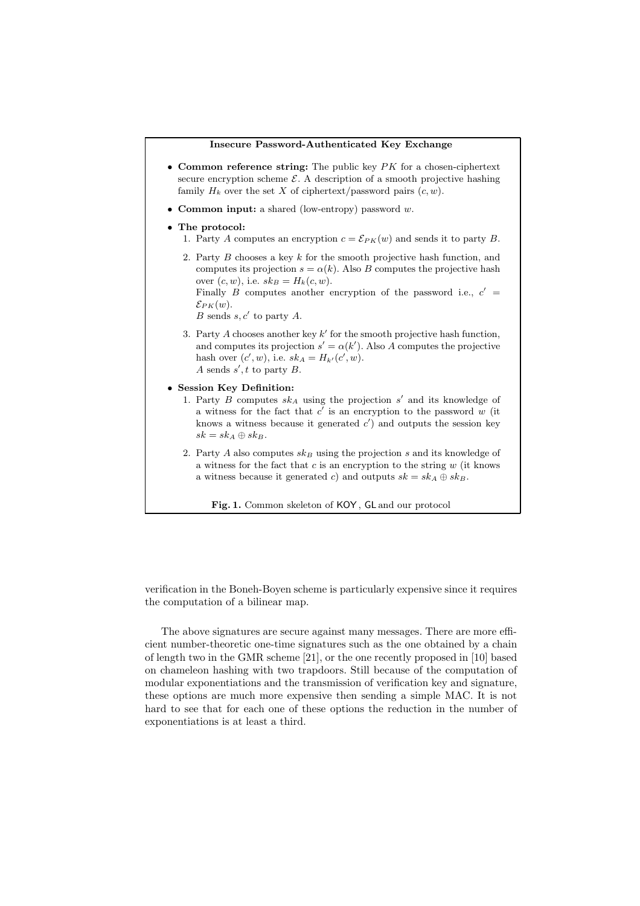#### Insecure Password-Authenticated Key Exchange

- Common reference string: The public key  $PK$  for a chosen-ciphertext secure encryption scheme  $\mathcal{E}$ . A description of a smooth projective hashing family  $H_k$  over the set X of ciphertext/password pairs  $(c, w)$ .
- Common input: a shared (low-entropy) password  $w$ .
- The protocol:
	- 1. Party A computes an encryption  $c = \mathcal{E}_{PK}(w)$  and sends it to party B.
	- 2. Party B chooses a key k for the smooth projective hash function, and computes its projection  $s = \alpha(k)$ . Also B computes the projective hash over  $(c, w)$ , i.e.  $sk_B = H_k(c, w)$ . Finally  $\hat{B}$  computes another encryption of the password i.e.,  $c' =$

 $\mathcal{E}_{PK}(w)$ . B sends  $s, c'$  to party A.

3. Party  $A$  chooses another key  $k'$  for the smooth projective hash function, and computes its projection  $s' = \alpha(k')$ . Also A computes the projective hash over  $(c', w)$ , i.e.  $sk_A = H_{k'}(c', w)$ . A sends  $s', t$  to party B.

#### • Session Key Definition:

- 1. Party  $\overrightarrow{B}$  computes  $sk_A$  using the projection  $s'$  and its knowledge of a witness for the fact that  $c'$  is an encryption to the password  $w$  (it knows a witness because it generated  $c'$ ) and outputs the session key  $sk = sk_A \oplus sk_B.$
- 2. Party A also computes  $sk_B$  using the projection s and its knowledge of a witness for the fact that  $c$  is an encryption to the string  $w$  (it knows a witness because it generated c) and outputs  $sk = sk_A \oplus sk_B$ .

Fig. 1. Common skeleton of KOY, GL and our protocol

verification in the Boneh-Boyen scheme is particularly expensive since it requires the computation of a bilinear map.

The above signatures are secure against many messages. There are more efficient number-theoretic one-time signatures such as the one obtained by a chain of length two in the GMR scheme [21], or the one recently proposed in [10] based on chameleon hashing with two trapdoors. Still because of the computation of modular exponentiations and the transmission of verification key and signature, these options are much more expensive then sending a simple MAC. It is not hard to see that for each one of these options the reduction in the number of exponentiations is at least a third.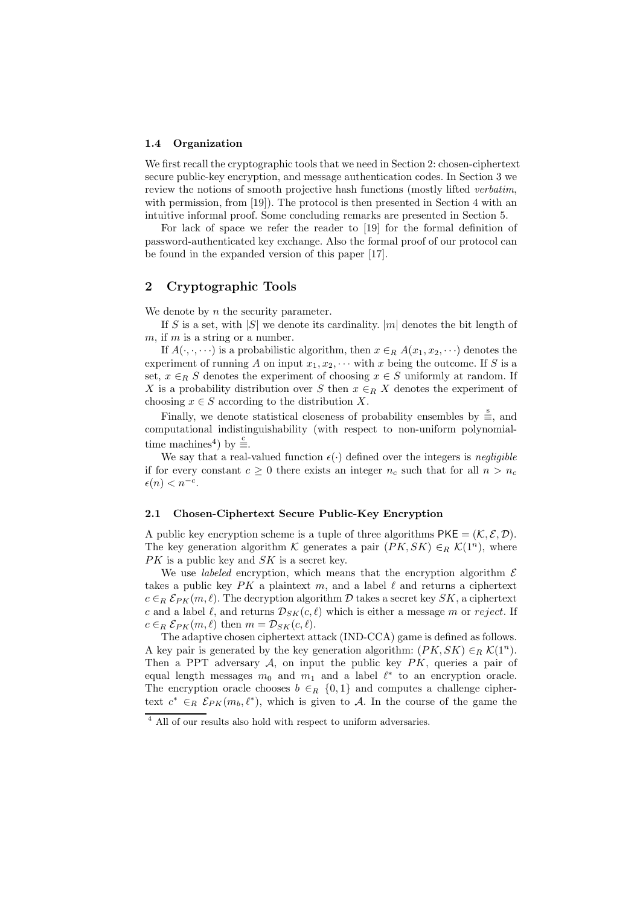#### 1.4 Organization

We first recall the cryptographic tools that we need in Section 2: chosen-ciphertext secure public-key encryption, and message authentication codes. In Section 3 we review the notions of smooth projective hash functions (mostly lifted *verbatim*, with permission, from [19]). The protocol is then presented in Section 4 with an intuitive informal proof. Some concluding remarks are presented in Section 5.

For lack of space we refer the reader to [19] for the formal definition of password-authenticated key exchange. Also the formal proof of our protocol can be found in the expanded version of this paper [17].

## 2 Cryptographic Tools

We denote by  $n$  the security parameter.

If S is a set, with  $|S|$  we denote its cardinality.  $|m|$  denotes the bit length of  $m$ , if  $m$  is a string or a number.

If  $A(\cdot, \cdot, \cdot, \cdot)$  is a probabilistic algorithm, then  $x \in_R A(x_1, x_2, \cdot, \cdot)$  denotes the experiment of running A on input  $x_1, x_2, \cdots$  with x being the outcome. If S is a set,  $x \in_R S$  denotes the experiment of choosing  $x \in S$  uniformly at random. If X is a probability distribution over S then  $x \in_R X$  denotes the experiment of choosing  $x \in S$  according to the distribution X.

Finally, we denote statistical closeness of probability ensembles by  $\stackrel{s}{\equiv}$ , and computational indistinguishability (with respect to non-uniform polynomialtime machines<sup>4</sup>) by  $\stackrel{c}{\equiv}$ .

We say that a real-valued function  $\epsilon(\cdot)$  defined over the integers is negligible if for every constant  $c \geq 0$  there exists an integer  $n_c$  such that for all  $n > n_c$  $\epsilon(n) < n^{-c}$ .

## 2.1 Chosen-Ciphertext Secure Public-Key Encryption

A public key encryption scheme is a tuple of three algorithms  $PKE = (K, \mathcal{E}, \mathcal{D}).$ The key generation algorithm K generates a pair  $(PK, SK) \in_R \mathcal{K}(1^n)$ , where PK is a public key and SK is a secret key.

We use *labeled* encryption, which means that the encryption algorithm  $\mathcal E$ takes a public key PK a plaintext m, and a label  $\ell$  and returns a ciphertext  $c \in_R \mathcal{E}_{PK}(m,\ell)$ . The decryption algorithm  $\mathcal D$  takes a secret key  $SK$ , a ciphertext c and a label  $\ell$ , and returns  $\mathcal{D}_{SK}(c, \ell)$  which is either a message m or reject. If  $c \in_R \mathcal{E}_{PK}(m,\ell)$  then  $m = \mathcal{D}_{SK}(c,\ell)$ .

The adaptive chosen ciphertext attack (IND-CCA) game is defined as follows. A key pair is generated by the key generation algorithm:  $(PK, SK) \in_R \mathcal{K}(1^n)$ . Then a PPT adversary  $A$ , on input the public key  $PK$ , queries a pair of equal length messages  $m_0$  and  $m_1$  and a label  $\ell^*$  to an encryption oracle. The encryption oracle chooses  $b \in_R \{0,1\}$  and computes a challenge ciphertext  $c^* \in_R \mathcal{E}_{PK}(m_b, \ell^*)$ , which is given to A. In the course of the game the

<sup>4</sup> All of our results also hold with respect to uniform adversaries.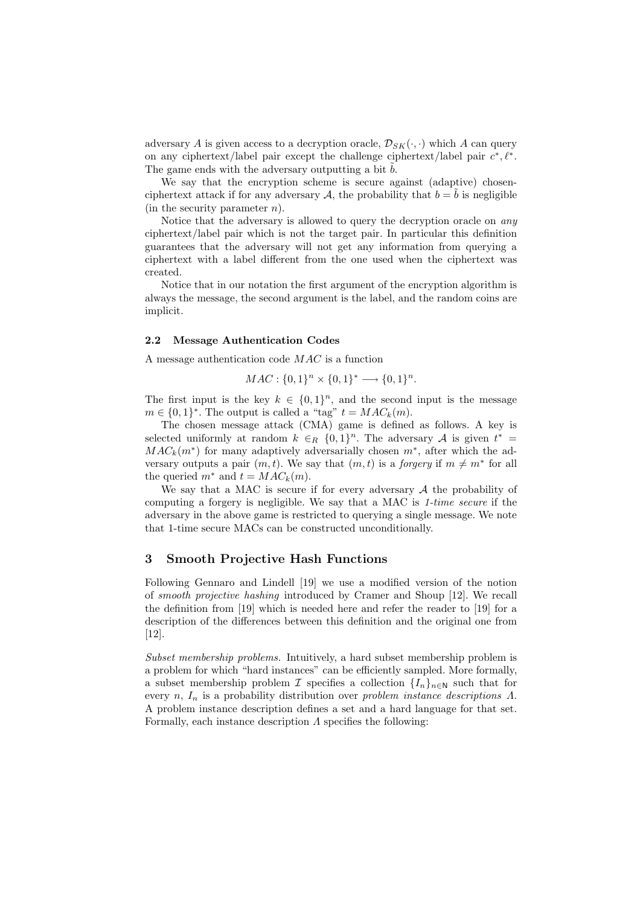adversary A is given access to a decryption oracle,  $\mathcal{D}_{SK}(\cdot, \cdot)$  which A can query on any ciphertext/label pair except the challenge ciphertext/label pair  $c^*, \ell^*.$ The game ends with the adversary outputting a bit  $\ddot{b}$ .

We say that the encryption scheme is secure against (adaptive) chosenciphertext attack if for any adversary A, the probability that  $b = \tilde{b}$  is negligible (in the security parameter  $n$ ).

Notice that the adversary is allowed to query the decryption oracle on *any* ciphertext/label pair which is not the target pair. In particular this definition guarantees that the adversary will not get any information from querying a ciphertext with a label different from the one used when the ciphertext was created.

Notice that in our notation the first argument of the encryption algorithm is always the message, the second argument is the label, and the random coins are implicit.

#### 2.2 Message Authentication Codes

A message authentication code MAC is a function

$$
MAC: \{0, 1\}^n \times \{0, 1\}^* \longrightarrow \{0, 1\}^n.
$$

The first input is the key  $k \in \{0,1\}^n$ , and the second input is the message  $m \in \{0,1\}^*$ . The output is called a "tag"  $t = MAC_k(m)$ .

The chosen message attack (CMA) game is defined as follows. A key is selected uniformly at random  $k \in R \{0,1\}^n$ . The adversary A is given  $t^* =$  $MAC_k(m^*)$  for many adaptively adversarially chosen  $m^*$ , after which the adversary outputs a pair  $(m, t)$ . We say that  $(m, t)$  is a *forgery* if  $m \neq m^*$  for all the queried  $m^*$  and  $t = MAC_k(m)$ .

We say that a MAC is secure if for every adversary  $A$  the probability of computing a forgery is negligible. We say that a MAC is 1-time secure if the adversary in the above game is restricted to querying a single message. We note that 1-time secure MACs can be constructed unconditionally.

## 3 Smooth Projective Hash Functions

Following Gennaro and Lindell [19] we use a modified version of the notion of smooth projective hashing introduced by Cramer and Shoup [12]. We recall the definition from [19] which is needed here and refer the reader to [19] for a description of the differences between this definition and the original one from [12].

Subset membership problems. Intuitively, a hard subset membership problem is a problem for which "hard instances" can be efficiently sampled. More formally, a subset membership problem I specifies a collection  $\{I_n\}_{n\in\mathbb{N}}$  such that for every  $n, I_n$  is a probability distribution over problem instance descriptions  $\Lambda$ . A problem instance description defines a set and a hard language for that set. Formally, each instance description  $\Lambda$  specifies the following: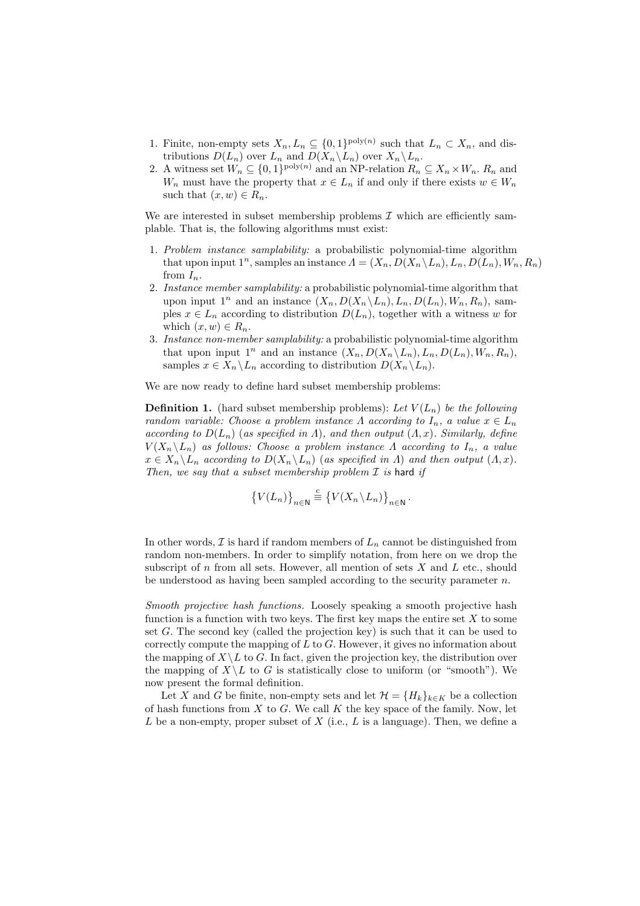- 1. Finite, non-empty sets  $X_n, L_n \subseteq \{0,1\}^{\text{poly}(n)}$  such that  $L_n \subset X_n$ , and distributions  $D(L_n)$  over  $L_n$  and  $D(X_n \backslash L_n)$  over  $X_n \backslash L_n$ .
- 2. A witness set  $W_n \subseteq \{0,1\}^{\text{poly}(n)}$  and an NP-relation  $R_n \subseteq X_n \times W_n$ .  $R_n$  and  $W_n$  must have the property that  $x \in L_n$  if and only if there exists  $w \in W_n$ such that  $(x, w) \in R_n$ .

We are interested in subset membership problems  $\mathcal I$  which are efficiently samplable. That is, the following algorithms must exist:

- 1. Problem instance samplability: a probabilistic polynomial-time algorithm that upon input  $1^n$ , samples an instance  $\Lambda = (X_n, D(X_n \backslash L_n), L_n, D(L_n), W_n, R_n)$ from  $I_n$ .
- 2. Instance member samplability: a probabilistic polynomial-time algorithm that upon input  $1^n$  and an instance  $(X_n, D(X_n \backslash L_n), L_n, D(L_n), W_n, R_n)$ , samples  $x \in L_n$  according to distribution  $D(L_n)$ , together with a witness w for which  $(x, w) \in R_n$ .
- 3. Instance non-member samplability: a probabilistic polynomial-time algorithm that upon input  $1^n$  and an instance  $(X_n, D(X_n \backslash L_n), L_n, D(L_n), W_n, R_n)$ , samples  $x \in X_n \backslash L_n$  according to distribution  $D(X_n \backslash L_n)$ .

We are now ready to define hard subset membership problems:

**Definition 1.** (hard subset membership problems): Let  $V(L_n)$  be the following random variable: Choose a problem instance  $\Lambda$  according to  $I_n$ , a value  $x \in L_n$ according to  $D(L_n)$  (as specified in A), and then output  $(A, x)$ . Similarly, define  $V(X_n \backslash L_n)$  as follows: Choose a problem instance  $\Lambda$  according to  $I_n$ , a value  $x \in X_n \backslash L_n$  according to  $D(X_n \backslash L_n)$  (as specified in A) and then output  $(\Lambda, x)$ . Then, we say that a subset membership problem  $\mathcal I$  is hard if

$$
\left\{V(L_n)\right\}_{n\in\mathbb{N}}\stackrel{\text{c}}{=}\left\{V(X_n\backslash L_n)\right\}_{n\in\mathbb{N}}.
$$

In other words,  $\mathcal I$  is hard if random members of  $L_n$  cannot be distinguished from random non-members. In order to simplify notation, from here on we drop the subscript of  $n$  from all sets. However, all mention of sets  $X$  and  $L$  etc., should be understood as having been sampled according to the security parameter  $n$ .

Smooth projective hash functions. Loosely speaking a smooth projective hash function is a function with two keys. The first key maps the entire set  $X$  to some set G. The second key (called the projection key) is such that it can be used to correctly compute the mapping of  $L$  to  $G$ . However, it gives no information about the mapping of  $X\backslash L$  to G. In fact, given the projection key, the distribution over the mapping of  $X\setminus L$  to G is statistically close to uniform (or "smooth"). We now present the formal definition.

Let X and G be finite, non-empty sets and let  $\mathcal{H} = \{H_k\}_{k \in K}$  be a collection of hash functions from  $X$  to  $G$ . We call  $K$  the key space of the family. Now, let L be a non-empty, proper subset of  $X$  (i.e.,  $L$  is a language). Then, we define a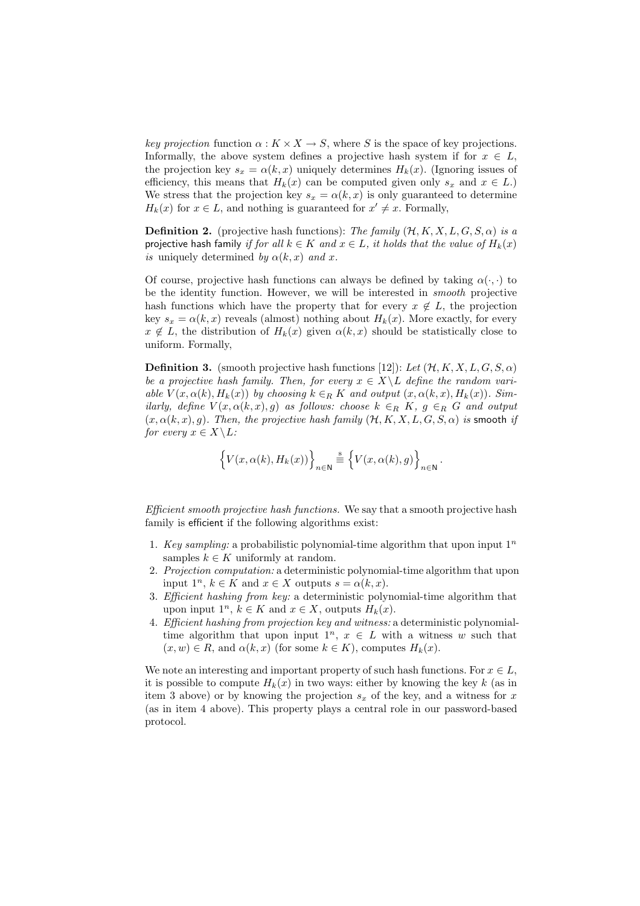key projection function  $\alpha : K \times X \to S$ , where S is the space of key projections. Informally, the above system defines a projective hash system if for  $x \in L$ , the projection key  $s_x = \alpha(k, x)$  uniquely determines  $H_k(x)$ . (Ignoring issues of efficiency, this means that  $H_k(x)$  can be computed given only  $s_x$  and  $x \in L$ . We stress that the projection key  $s_x = \alpha(k, x)$  is only guaranteed to determine  $H_k(x)$  for  $x \in L$ , and nothing is guaranteed for  $x' \neq x$ . Formally,

**Definition 2.** (projective hash functions): The family  $(H, K, X, L, G, S, \alpha)$  is a projective hash family if for all  $k \in K$  and  $x \in L$ , it holds that the value of  $H_k(x)$ is uniquely determined by  $\alpha(k, x)$  and x.

Of course, projective hash functions can always be defined by taking  $\alpha(\cdot, \cdot)$  to be the identity function. However, we will be interested in smooth projective hash functions which have the property that for every  $x \notin L$ , the projection key  $s_x = \alpha(k, x)$  reveals (almost) nothing about  $H_k(x)$ . More exactly, for every  $x \notin L$ , the distribution of  $H_k(x)$  given  $\alpha(k, x)$  should be statistically close to uniform. Formally,

**Definition 3.** (smooth projective hash functions [12]): Let  $(\mathcal{H}, K, X, L, G, S, \alpha)$ be a projective hash family. Then, for every  $x \in X \backslash L$  define the random variable  $V(x, \alpha(k), H_k(x))$  by choosing  $k \in_R K$  and output  $(x, \alpha(k, x), H_k(x))$ . Similarly, define  $V(x, \alpha(k, x), g)$  as follows: choose  $k \in_R K$ ,  $g \in_R G$  and output  $(x, \alpha(k, x), q)$ . Then, the projective hash family  $(\mathcal{H}, K, X, L, G, S, \alpha)$  is smooth if for every  $x \in X \backslash L$ :

$$
\left\{V(x,\alpha(k),H_k(x))\right\}_{n\in\mathbb{N}}\stackrel{\rm s}{=} \left\{V(x,\alpha(k),g)\right\}_{n\in\mathbb{N}}.
$$

Efficient smooth projective hash functions. We say that a smooth projective hash family is efficient if the following algorithms exist:

- 1. Key sampling: a probabilistic polynomial-time algorithm that upon input  $1<sup>n</sup>$ samples  $k \in K$  uniformly at random.
- 2. Projection computation: a deterministic polynomial-time algorithm that upon input  $1^n, k \in K$  and  $x \in X$  outputs  $s = \alpha(k, x)$ .
- 3. Efficient hashing from key: a deterministic polynomial-time algorithm that upon input  $1^n$ ,  $k \in K$  and  $x \in X$ , outputs  $H_k(x)$ .
- 4. Efficient hashing from projection key and witness: a deterministic polynomialtime algorithm that upon input  $1^n$ ,  $x \in L$  with a witness w such that  $(x, w) \in R$ , and  $\alpha(k, x)$  (for some  $k \in K$ ), computes  $H_k(x)$ .

We note an interesting and important property of such hash functions. For  $x \in L$ , it is possible to compute  $H_k(x)$  in two ways: either by knowing the key k (as in item 3 above) or by knowing the projection  $s_x$  of the key, and a witness for x (as in item 4 above). This property plays a central role in our password-based protocol.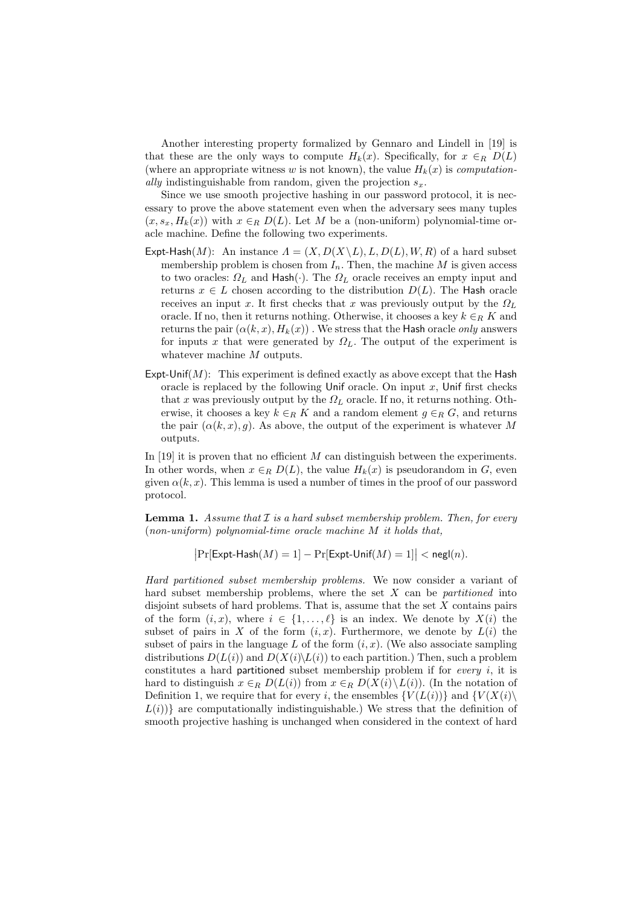Another interesting property formalized by Gennaro and Lindell in [19] is that these are the only ways to compute  $H_k(x)$ . Specifically, for  $x \in_R D(L)$ (where an appropriate witness w is not known), the value  $H_k(x)$  is *computation*ally indistinguishable from random, given the projection  $s_x$ .

Since we use smooth projective hashing in our password protocol, it is necessary to prove the above statement even when the adversary sees many tuples  $(x, s_x, H_k(x))$  with  $x \in_R D(L)$ . Let M be a (non-uniform) polynomial-time oracle machine. Define the following two experiments.

- Expt-Hash $(M)$ : An instance  $\Lambda = (X, D(X \backslash L), L, D(L), W, R)$  of a hard subset membership problem is chosen from  $I_n$ . Then, the machine M is given access to two oracles:  $\Omega_L$  and Hash(·). The  $\Omega_L$  oracle receives an empty input and returns  $x \in L$  chosen according to the distribution  $D(L)$ . The Hash oracle receives an input x. It first checks that x was previously output by the  $\Omega_L$ oracle. If no, then it returns nothing. Otherwise, it chooses a key  $k \in_R K$  and returns the pair  $(\alpha(k, x), H_k(x))$ . We stress that the Hash oracle only answers for inputs x that were generated by  $\Omega_L$ . The output of the experiment is whatever machine M outputs.
- Expt-Unif(M): This experiment is defined exactly as above except that the Hash oracle is replaced by the following Unif oracle. On input  $x$ , Unif first checks that x was previously output by the  $\Omega_L$  oracle. If no, it returns nothing. Otherwise, it chooses a key  $k \in_R K$  and a random element  $g \in_R G$ , and returns the pair  $(\alpha(k, x), g)$ . As above, the output of the experiment is whatever M outputs.

In [19] it is proven that no efficient  $M$  can distinguish between the experiments. In other words, when  $x \in_R D(L)$ , the value  $H_k(x)$  is pseudorandom in G, even given  $\alpha(k, x)$ . This lemma is used a number of times in the proof of our password protocol.

**Lemma 1.** Assume that  $\mathcal I$  is a hard subset membership problem. Then, for every (non-uniform) polynomial-time oracle machine M it holds that,

 $\big|\Pr[\mathsf{Expt\text{-}Hash}(M)=1]-\Pr[\mathsf{Expt\text{-}Unif}(M)=1]\big|<\mathsf{negl}(n).$ 

Hard partitioned subset membership problems. We now consider a variant of hard subset membership problems, where the set  $X$  can be *partitioned* into disjoint subsets of hard problems. That is, assume that the set  $X$  contains pairs of the form  $(i, x)$ , where  $i \in \{1, \ldots, \ell\}$  is an index. We denote by  $X(i)$  the subset of pairs in X of the form  $(i, x)$ . Furthermore, we denote by  $L(i)$  the subset of pairs in the language  $L$  of the form  $(i, x)$ . (We also associate sampling distributions  $D(L(i))$  and  $D(X(i)\backslash L(i))$  to each partition.) Then, such a problem constitutes a hard partitioned subset membership problem if for every  $i$ , it is hard to distinguish  $x \in_R D(L(i))$  from  $x \in_R D(X(i) \setminus L(i))$ . (In the notation of Definition 1, we require that for every i, the ensembles  $\{V(L(i))\}$  and  $\{V(X(i))\}$  $L(i)$ } are computationally indistinguishable.) We stress that the definition of smooth projective hashing is unchanged when considered in the context of hard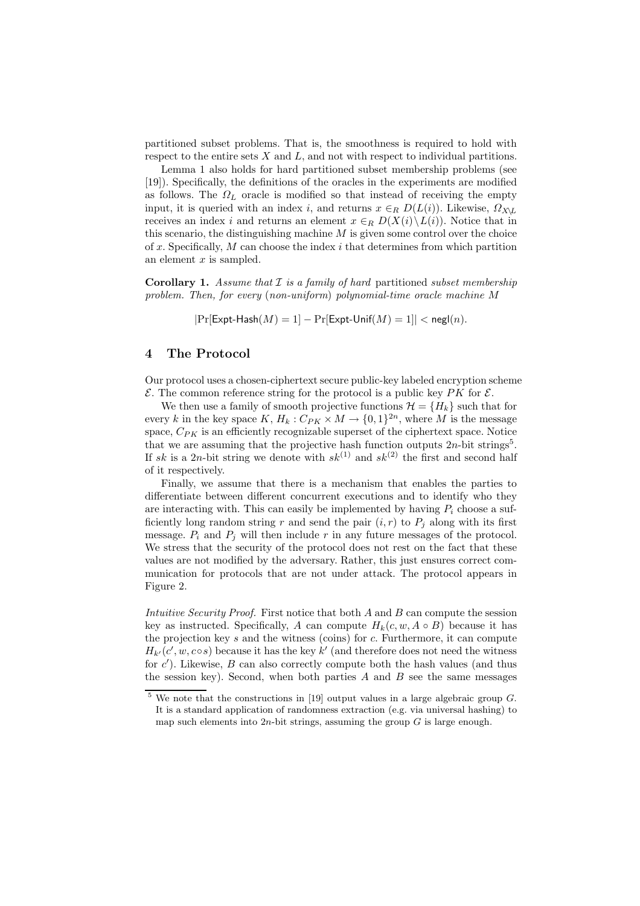partitioned subset problems. That is, the smoothness is required to hold with respect to the entire sets  $X$  and  $L$ , and not with respect to individual partitions.

Lemma 1 also holds for hard partitioned subset membership problems (see [19]). Specifically, the definitions of the oracles in the experiments are modified as follows. The  $\Omega_L$  oracle is modified so that instead of receiving the empty input, it is queried with an index i, and returns  $x \in_R D(L(i))$ . Likewise,  $\Omega_{X\setminus L}$ receives an index i and returns an element  $x \in_R D(X(i)\backslash L(i))$ . Notice that in this scenario, the distinguishing machine  $M$  is given some control over the choice of x. Specifically,  $M$  can choose the index i that determines from which partition an element  $x$  is sampled.

**Corollary 1.** Assume that  $I$  is a family of hard partitioned subset membership problem. Then, for every (non-uniform) polynomial-time oracle machine M

 $|\Pr[\mathsf{Expt\text{-}Hash}(M) = 1] - \Pr[\mathsf{Expt\text{-}Unif}(M) = 1]| < \mathsf{negl}(n).$ 

## 4 The Protocol

Our protocol uses a chosen-ciphertext secure public-key labeled encryption scheme  $\mathcal E$ . The common reference string for the protocol is a public key PK for  $\mathcal E$ .

We then use a family of smooth projective functions  $\mathcal{H} = \{H_k\}$  such that for every k in the key space  $K, H_k: C_{PK} \times M \to \{0,1\}^{2n}$ , where M is the message space,  $C_{PK}$  is an efficiently recognizable superset of the ciphertext space. Notice that we are assuming that the projective hash function outputs  $2n$ -bit strings<sup>5</sup>. If sk is a 2n-bit string we denote with  $sk^{(1)}$  and  $sk^{(2)}$  the first and second half of it respectively.

Finally, we assume that there is a mechanism that enables the parties to differentiate between different concurrent executions and to identify who they are interacting with. This can easily be implemented by having  $P_i$  choose a sufficiently long random string r and send the pair  $(i, r)$  to  $P_j$  along with its first message.  $P_i$  and  $P_j$  will then include r in any future messages of the protocol. We stress that the security of the protocol does not rest on the fact that these values are not modified by the adversary. Rather, this just ensures correct communication for protocols that are not under attack. The protocol appears in Figure 2.

Intuitive Security Proof. First notice that both A and B can compute the session key as instructed. Specifically, A can compute  $H_k(c, w, A \circ B)$  because it has the projection key s and the witness (coins) for c. Furthermore, it can compute  $H_{k'}(c', w, \cos)$  because it has the key  $k'$  (and therefore does not need the witness for c'). Likewise, B can also correctly compute both the hash values (and thus the session key). Second, when both parties  $A$  and  $B$  see the same messages

 $5$  We note that the constructions in [19] output values in a large algebraic group G. It is a standard application of randomness extraction (e.g. via universal hashing) to map such elements into  $2n$ -bit strings, assuming the group  $G$  is large enough.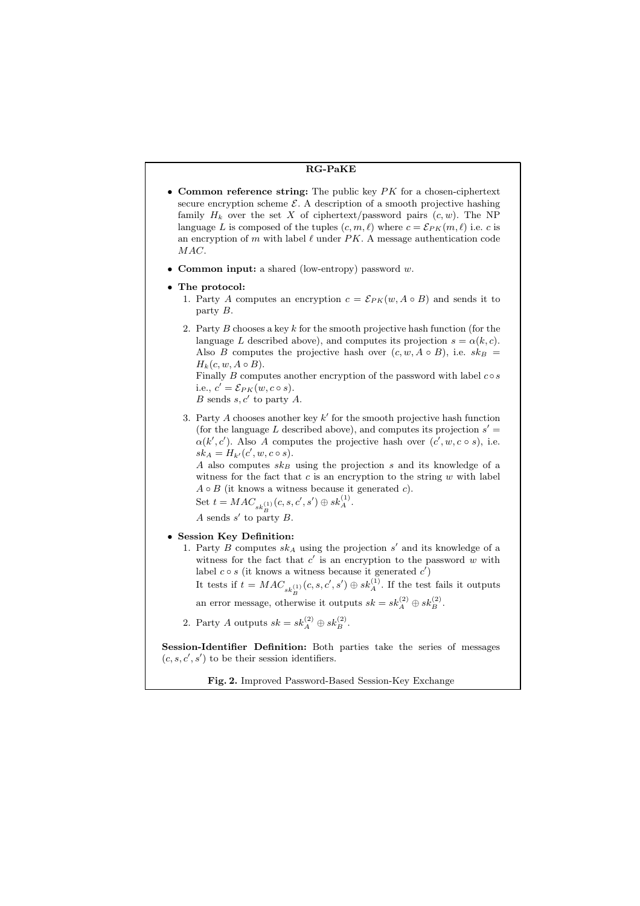#### RG-PaKE

- Common reference string: The public key  $PK$  for a chosen-ciphertext secure encryption scheme  $\mathcal{E}$ . A description of a smooth projective hashing family  $H_k$  over the set X of ciphertext/password pairs  $(c, w)$ . The NP language L is composed of the tuples  $(c, m, \ell)$  where  $c = \mathcal{E}_{PK}(m, \ell)$  i.e. c is an encryption of m with label  $\ell$  under PK. A message authentication code MAC.
- **Common input:** a shared (low-entropy) password  $w$ .
- The protocol:
	- 1. Party A computes an encryption  $c = \mathcal{E}_{PK}(w, A \circ B)$  and sends it to party B.
	- 2. Party  $B$  chooses a key  $k$  for the smooth projective hash function (for the language L described above), and computes its projection  $s = \alpha(k, c)$ . Also B computes the projective hash over  $(c, w, A \circ B)$ , i.e.  $sk_B =$  $H_k(c, w, A \circ B).$

Finally B computes another encryption of the password with label  $\cos$ i.e.,  $c' = \mathcal{E}_{PK}(w, c \circ s)$ .

- B sends  $s, c'$  to party A.
- 3. Party  $A$  chooses another key  $k'$  for the smooth projective hash function (for the language L described above), and computes its projection  $s' =$  $\alpha(k',c')$ . Also A computes the projective hash over  $(c',w,c \circ s)$ , i.e.  $sk_A = H_{k'}(c', w, c \circ s).$

A also computes  $sk_B$  using the projection s and its knowledge of a witness for the fact that  $c$  is an encryption to the string  $w$  with label  $A \circ B$  (it knows a witness because it generated c).

Set 
$$
t = MAC_{sk_B^{(1)}}(c, s, c', s') \oplus sk_A^{(1)}
$$
.

A sends  $s'$  to party  $B$ .

#### • Session Key Definition:

1. Party  $B$  computes  $sk_A$  using the projection  $s'$  and its knowledge of a witness for the fact that  $c'$  is an encryption to the password  $w$  with label  $c \circ s$  (it knows a witness because it generated  $c'$ )

It tests if  $t = MAC_{sk_B^{(1)}}(c, s, c', s') \oplus sk_A^{(1)}$ . If the test fails it outputs

an error message, otherwise it outputs  $sk = sk_A^{(2)} \oplus sk_B^{(2)}$ .

2. Party A outputs  $sk = sk_A^{(2)} \oplus sk_B^{(2)}$ .

Session-Identifier Definition: Both parties take the series of messages  $(c, s, c', s')$  to be their session identifiers.

Fig. 2. Improved Password-Based Session-Key Exchange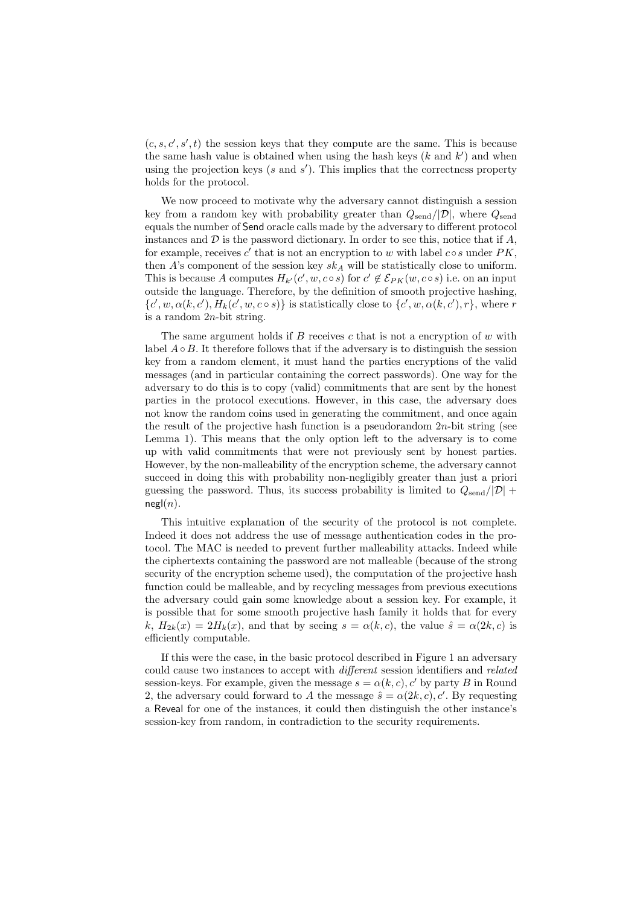$(c, s, c', s', t)$  the session keys that they compute are the same. This is because the same hash value is obtained when using the hash keys  $(k \text{ and } k')$  and when using the projection keys  $(s \text{ and } s')$ . This implies that the correctness property holds for the protocol.

We now proceed to motivate why the adversary cannot distinguish a session key from a random key with probability greater than  $Q_{\rm send}/|\mathcal{D}|$ , where  $Q_{\rm send}$ equals the number of Send oracle calls made by the adversary to different protocol instances and  $D$  is the password dictionary. In order to see this, notice that if  $A$ , for example, receives  $c'$  that is not an encryption to w with label  $c \circ s$  under  $PK$ , then A's component of the session key  $sk_A$  will be statistically close to uniform. This is because A computes  $H_{k'}(c', w, c \circ s)$  for  $c' \notin \mathcal{E}_{PK}(w, c \circ s)$  i.e. on an input outside the language. Therefore, by the definition of smooth projective hashing,  $\{c', w, \alpha(k, c'), H_k(c', w, c \circ s)\}\$ is statistically close to  $\{c', w, \alpha(k, c'), r\}$ , where r is a random 2n-bit string.

The same argument holds if  $B$  receives  $c$  that is not a encryption of  $w$  with label  $A \circ B$ . It therefore follows that if the adversary is to distinguish the session key from a random element, it must hand the parties encryptions of the valid messages (and in particular containing the correct passwords). One way for the adversary to do this is to copy (valid) commitments that are sent by the honest parties in the protocol executions. However, in this case, the adversary does not know the random coins used in generating the commitment, and once again the result of the projective hash function is a pseudorandom  $2n$ -bit string (see Lemma 1). This means that the only option left to the adversary is to come up with valid commitments that were not previously sent by honest parties. However, by the non-malleability of the encryption scheme, the adversary cannot succeed in doing this with probability non-negligibly greater than just a priori guessing the password. Thus, its success probability is limited to  $Q_{send}/|\mathcal{D}|$  +  $neq(n)$ .

This intuitive explanation of the security of the protocol is not complete. Indeed it does not address the use of message authentication codes in the protocol. The MAC is needed to prevent further malleability attacks. Indeed while the ciphertexts containing the password are not malleable (because of the strong security of the encryption scheme used), the computation of the projective hash function could be malleable, and by recycling messages from previous executions the adversary could gain some knowledge about a session key. For example, it is possible that for some smooth projective hash family it holds that for every k,  $H_{2k}(x) = 2H_k(x)$ , and that by seeing  $s = \alpha(k, c)$ , the value  $\hat{s} = \alpha(2k, c)$  is efficiently computable.

If this were the case, in the basic protocol described in Figure 1 an adversary could cause two instances to accept with different session identifiers and related session-keys. For example, given the message  $s = \alpha(k, c), c'$  by party B in Round 2, the adversary could forward to A the message  $\hat{s} = \alpha(2k, c), c'$ . By requesting a Reveal for one of the instances, it could then distinguish the other instance's session-key from random, in contradiction to the security requirements.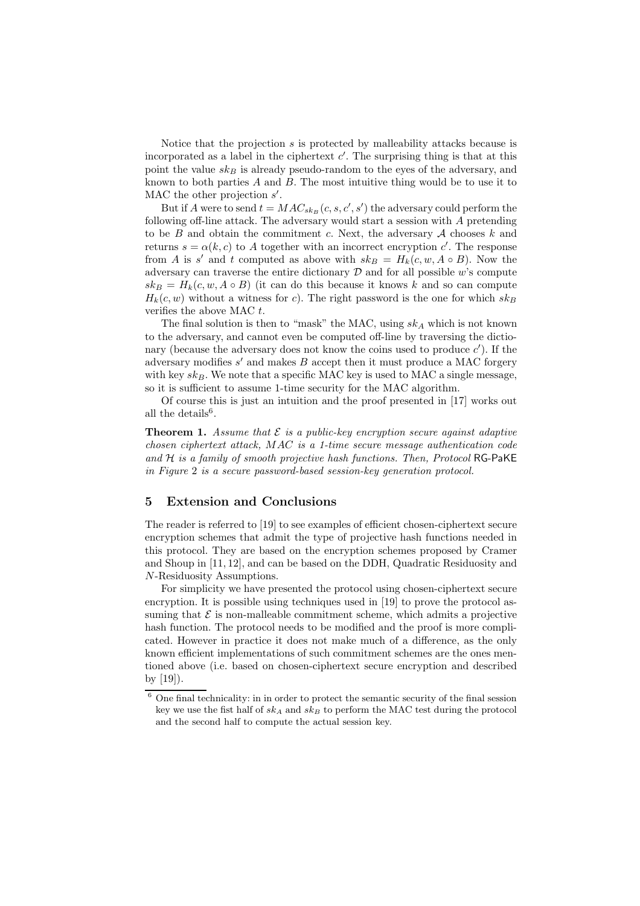Notice that the projection s is protected by malleability attacks because is incorporated as a label in the ciphertext  $c'$ . The surprising thing is that at this point the value  $s k_B$  is already pseudo-random to the eyes of the adversary, and known to both parties  $A$  and  $B$ . The most intuitive thing would be to use it to MAC the other projection s'.

But if A were to send  $t = MAC_{s k_B}(c, s, c', s')$  the adversary could perform the following off-line attack. The adversary would start a session with A pretending to be  $B$  and obtain the commitment  $c$ . Next, the adversary  $A$  chooses  $k$  and returns  $s = \alpha(k, c)$  to A together with an incorrect encryption c'. The response from A is s' and t computed as above with  $sk_B = H_k(c, w, A \circ B)$ . Now the adversary can traverse the entire dictionary  $D$  and for all possible  $w$ 's compute  $sk_B = H_k(c, w, A \circ B)$  (it can do this because it knows k and so can compute  $H_k(c, w)$  without a witness for c). The right password is the one for which  $sk_B$ verifies the above MAC  $t$ .

The final solution is then to "mask" the MAC, using  $sk_A$  which is not known to the adversary, and cannot even be computed off-line by traversing the dictionary (because the adversary does not know the coins used to produce  $c'$ ). If the adversary modifies  $s'$  and makes  $B$  accept then it must produce a MAC forgery with key  $sk_B$ . We note that a specific MAC key is used to MAC a single message, so it is sufficient to assume 1-time security for the MAC algorithm.

Of course this is just an intuition and the proof presented in [17] works out all the details<sup>6</sup>.

**Theorem 1.** Assume that  $\mathcal{E}$  is a public-key encryption secure against adaptive chosen ciphertext attack, MAC is a 1-time secure message authentication code and  $H$  is a family of smooth projective hash functions. Then, Protocol RG-PaKE in Figure 2 is a secure password-based session-key generation protocol.

# 5 Extension and Conclusions

The reader is referred to [19] to see examples of efficient chosen-ciphertext secure encryption schemes that admit the type of projective hash functions needed in this protocol. They are based on the encryption schemes proposed by Cramer and Shoup in [11, 12], and can be based on the DDH, Quadratic Residuosity and N-Residuosity Assumptions.

For simplicity we have presented the protocol using chosen-ciphertext secure encryption. It is possible using techniques used in [19] to prove the protocol assuming that  $\mathcal E$  is non-malleable commitment scheme, which admits a projective hash function. The protocol needs to be modified and the proof is more complicated. However in practice it does not make much of a difference, as the only known efficient implementations of such commitment schemes are the ones mentioned above (i.e. based on chosen-ciphertext secure encryption and described by [19]).

 $6$  One final technicality: in in order to protect the semantic security of the final session key we use the fist half of  $sk_A$  and  $sk_B$  to perform the MAC test during the protocol and the second half to compute the actual session key.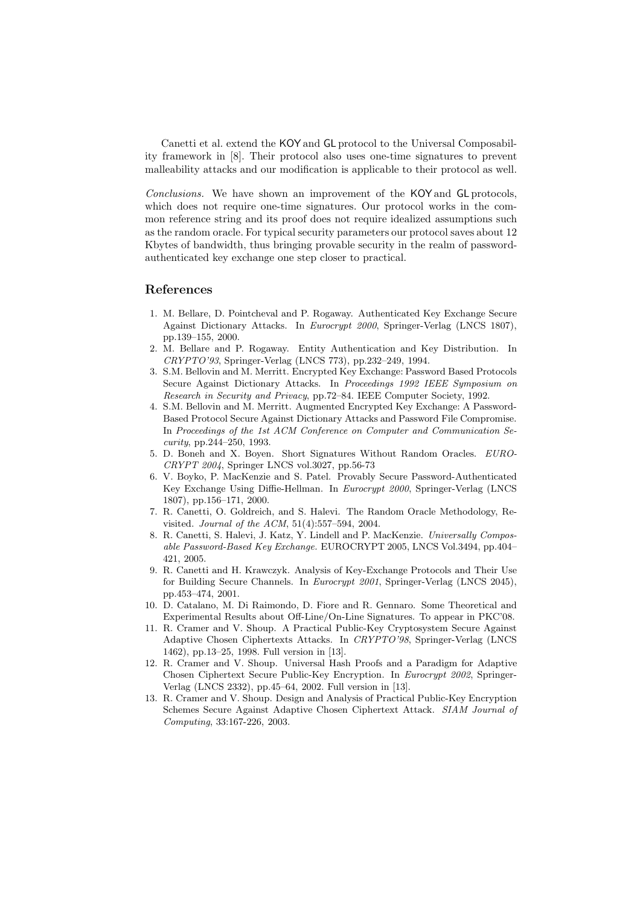Canetti et al. extend the KOYand GL protocol to the Universal Composability framework in [8]. Their protocol also uses one-time signatures to prevent malleability attacks and our modification is applicable to their protocol as well.

Conclusions. We have shown an improvement of the KOY and GL protocols, which does not require one-time signatures. Our protocol works in the common reference string and its proof does not require idealized assumptions such as the random oracle. For typical security parameters our protocol saves about 12 Kbytes of bandwidth, thus bringing provable security in the realm of passwordauthenticated key exchange one step closer to practical.

## References

- 1. M. Bellare, D. Pointcheval and P. Rogaway. Authenticated Key Exchange Secure Against Dictionary Attacks. In Eurocrypt 2000, Springer-Verlag (LNCS 1807), pp.139–155, 2000.
- 2. M. Bellare and P. Rogaway. Entity Authentication and Key Distribution. In CRYPTO'93, Springer-Verlag (LNCS 773), pp.232–249, 1994.
- 3. S.M. Bellovin and M. Merritt. Encrypted Key Exchange: Password Based Protocols Secure Against Dictionary Attacks. In Proceedings 1992 IEEE Symposium on Research in Security and Privacy, pp.72–84. IEEE Computer Society, 1992.
- 4. S.M. Bellovin and M. Merritt. Augmented Encrypted Key Exchange: A Password-Based Protocol Secure Against Dictionary Attacks and Password File Compromise. In Proceedings of the 1st ACM Conference on Computer and Communication Security, pp.244–250, 1993.
- 5. D. Boneh and X. Boyen. Short Signatures Without Random Oracles. EURO-CRYPT 2004, Springer LNCS vol.3027, pp.56-73
- 6. V. Boyko, P. MacKenzie and S. Patel. Provably Secure Password-Authenticated Key Exchange Using Diffie-Hellman. In Eurocrypt 2000, Springer-Verlag (LNCS 1807), pp.156–171, 2000.
- 7. R. Canetti, O. Goldreich, and S. Halevi. The Random Oracle Methodology, Revisited. Journal of the ACM, 51(4):557–594, 2004.
- 8. R. Canetti, S. Halevi, J. Katz, Y. Lindell and P. MacKenzie. Universally Composable Password-Based Key Exchange. EUROCRYPT 2005, LNCS Vol.3494, pp.404– 421, 2005.
- 9. R. Canetti and H. Krawczyk. Analysis of Key-Exchange Protocols and Their Use for Building Secure Channels. In Eurocrypt 2001, Springer-Verlag (LNCS 2045), pp.453–474, 2001.
- 10. D. Catalano, M. Di Raimondo, D. Fiore and R. Gennaro. Some Theoretical and Experimental Results about Off-Line/On-Line Signatures. To appear in PKC'08.
- 11. R. Cramer and V. Shoup. A Practical Public-Key Cryptosystem Secure Against Adaptive Chosen Ciphertexts Attacks. In CRYPTO'98, Springer-Verlag (LNCS 1462), pp.13–25, 1998. Full version in [13].
- 12. R. Cramer and V. Shoup. Universal Hash Proofs and a Paradigm for Adaptive Chosen Ciphertext Secure Public-Key Encryption. In Eurocrypt 2002, Springer-Verlag (LNCS 2332), pp.45–64, 2002. Full version in [13].
- 13. R. Cramer and V. Shoup. Design and Analysis of Practical Public-Key Encryption Schemes Secure Against Adaptive Chosen Ciphertext Attack. SIAM Journal of Computing, 33:167-226, 2003.